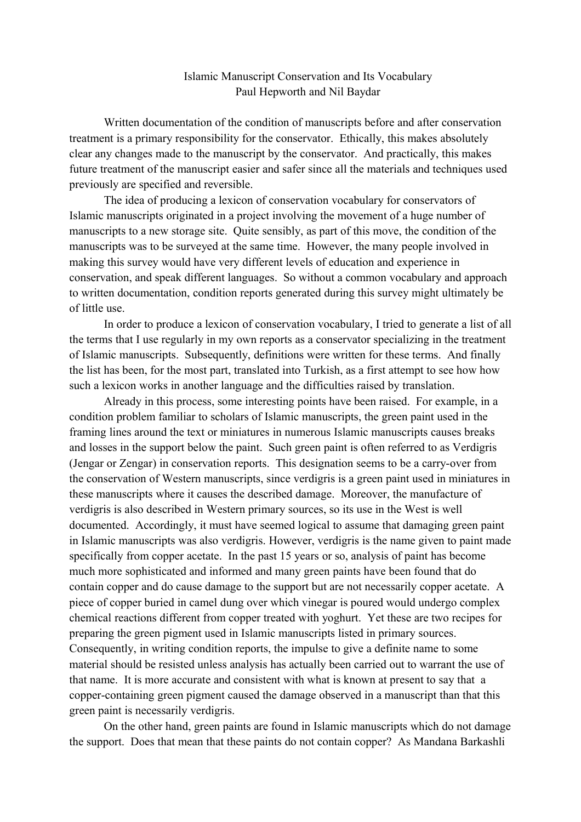## Islamic Manuscript Conservation and Its Vocabulary Paul Hepworth and Nil Baydar

Written documentation of the condition of manuscripts before and after conservation treatment is a primary responsibility for the conservator. Ethically, this makes absolutely clear any changes made to the manuscript by the conservator. And practically, this makes future treatment of the manuscript easier and safer since all the materials and techniques used previously are specified and reversible.

The idea of producing a lexicon of conservation vocabulary for conservators of Islamic manuscripts originated in a project involving the movement of a huge number of manuscripts to a new storage site. Quite sensibly, as part of this move, the condition of the manuscripts was to be surveyed at the same time. However, the many people involved in making this survey would have very different levels of education and experience in conservation, and speak different languages. So without a common vocabulary and approach to written documentation, condition reports generated during this survey might ultimately be of little use.

In order to produce a lexicon of conservation vocabulary, I tried to generate a list of all the terms that I use regularly in my own reports as a conservator specializing in the treatment of Islamic manuscripts. Subsequently, definitions were written for these terms. And finally the list has been, for the most part, translated into Turkish, as a first attempt to see how how such a lexicon works in another language and the difficulties raised by translation.

Already in this process, some interesting points have been raised. For example, in a condition problem familiar to scholars of Islamic manuscripts, the green paint used in the framing lines around the text or miniatures in numerous Islamic manuscripts causes breaks and losses in the support below the paint. Such green paint is often referred to as Verdigris (Jengar or Zengar) in conservation reports. This designation seems to be a carry-over from the conservation of Western manuscripts, since verdigris is a green paint used in miniatures in these manuscripts where it causes the described damage. Moreover, the manufacture of verdigris is also described in Western primary sources, so its use in the West is well documented. Accordingly, it must have seemed logical to assume that damaging green paint in Islamic manuscripts was also verdigris. However, verdigris is the name given to paint made specifically from copper acetate. In the past 15 years or so, analysis of paint has become much more sophisticated and informed and many green paints have been found that do contain copper and do cause damage to the support but are not necessarily copper acetate. A piece of copper buried in camel dung over which vinegar is poured would undergo complex chemical reactions different from copper treated with yoghurt. Yet these are two recipes for preparing the green pigment used in Islamic manuscripts listed in primary sources. Consequently, in writing condition reports, the impulse to give a definite name to some material should be resisted unless analysis has actually been carried out to warrant the use of that name. It is more accurate and consistent with what is known at present to say that a copper-containing green pigment caused the damage observed in a manuscript than that this green paint is necessarily verdigris.

On the other hand, green paints are found in Islamic manuscripts which do not damage the support. Does that mean that these paints do not contain copper? As Mandana Barkashli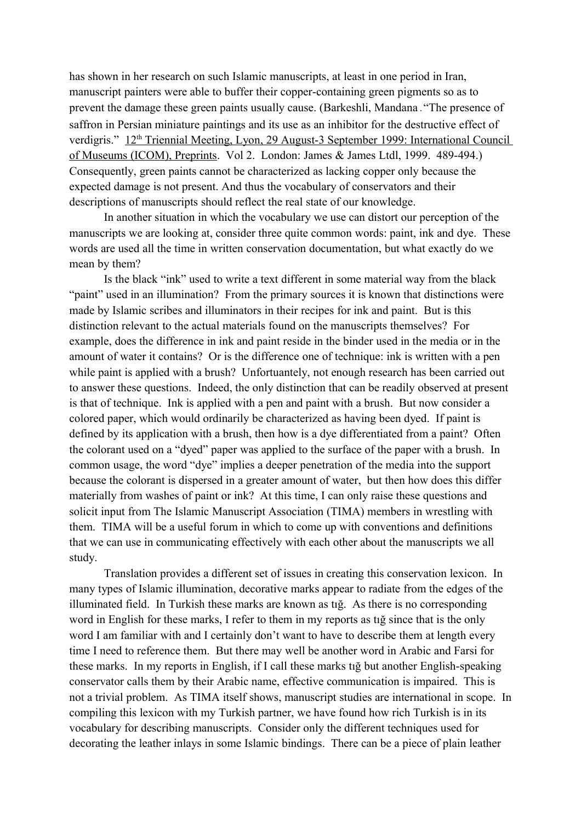has shown in her research on such Islamic manuscripts, at least in one period in Iran, manuscript painters were able to buffer their copper-containing green pigments so as to prevent the damage these green paints usually cause. (Barkeshli, Mandana. "The presence of saffron in Persian miniature paintings and its use as an inhibitor for the destructive effect of verdigris." 12<sup>th</sup> Triennial Meeting, Lyon, 29 August-3 September 1999: International Council of Museums (ICOM), Preprints. Vol 2. London: James & James Ltdl, 1999. 489-494.) Consequently, green paints cannot be characterized as lacking copper only because the expected damage is not present. And thus the vocabulary of conservators and their descriptions of manuscripts should reflect the real state of our knowledge.

In another situation in which the vocabulary we use can distort our perception of the manuscripts we are looking at, consider three quite common words: paint, ink and dye. These words are used all the time in written conservation documentation, but what exactly do we mean by them?

Is the black "ink" used to write a text different in some material way from the black "paint" used in an illumination? From the primary sources it is known that distinctions were made by Islamic scribes and illuminators in their recipes for ink and paint. But is this distinction relevant to the actual materials found on the manuscripts themselves? For example, does the difference in ink and paint reside in the binder used in the media or in the amount of water it contains? Or is the difference one of technique: ink is written with a pen while paint is applied with a brush? Unfortuantely, not enough research has been carried out to answer these questions. Indeed, the only distinction that can be readily observed at present is that of technique. Ink is applied with a pen and paint with a brush. But now consider a colored paper, which would ordinarily be characterized as having been dyed. If paint is defined by its application with a brush, then how is a dye differentiated from a paint? Often the colorant used on a "dyed" paper was applied to the surface of the paper with a brush. In common usage, the word "dye" implies a deeper penetration of the media into the support because the colorant is dispersed in a greater amount of water, but then how does this differ materially from washes of paint or ink? At this time, I can only raise these questions and solicit input from The Islamic Manuscript Association (TIMA) members in wrestling with them. TIMA will be a useful forum in which to come up with conventions and definitions that we can use in communicating effectively with each other about the manuscripts we all study.

Translation provides a different set of issues in creating this conservation lexicon. In many types of Islamic illumination, decorative marks appear to radiate from the edges of the illuminated field. In Turkish these marks are known as tığ. As there is no corresponding word in English for these marks, I refer to them in my reports as tığ since that is the only word I am familiar with and I certainly don't want to have to describe them at length every time I need to reference them. But there may well be another word in Arabic and Farsi for these marks. In my reports in English, if I call these marks tığ but another English-speaking conservator calls them by their Arabic name, effective communication is impaired. This is not a trivial problem. As TIMA itself shows, manuscript studies are international in scope. In compiling this lexicon with my Turkish partner, we have found how rich Turkish is in its vocabulary for describing manuscripts. Consider only the different techniques used for decorating the leather inlays in some Islamic bindings. There can be a piece of plain leather